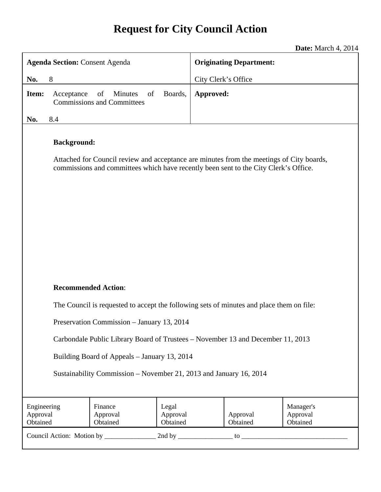# **Request for City Council Action**

**Date:** March 4, 2014

| <b>Agenda Section: Consent Agenda</b>                                           |                                                                                                                                                                                                        |           | <b>Originating Department:</b> |                                   |  |  |
|---------------------------------------------------------------------------------|--------------------------------------------------------------------------------------------------------------------------------------------------------------------------------------------------------|-----------|--------------------------------|-----------------------------------|--|--|
| No.                                                                             | 8                                                                                                                                                                                                      |           | City Clerk's Office            |                                   |  |  |
| Item:                                                                           | <b>Minutes</b><br>Boards,<br>Acceptance<br>of<br>of<br><b>Commissions and Committees</b>                                                                                                               | Approved: |                                |                                   |  |  |
| No.                                                                             | 8.4                                                                                                                                                                                                    |           |                                |                                   |  |  |
|                                                                                 | <b>Background:</b><br>Attached for Council review and acceptance are minutes from the meetings of City boards,<br>commissions and committees which have recently been sent to the City Clerk's Office. |           |                                |                                   |  |  |
|                                                                                 | <b>Recommended Action:</b>                                                                                                                                                                             |           |                                |                                   |  |  |
|                                                                                 | The Council is requested to accept the following sets of minutes and place them on file:                                                                                                               |           |                                |                                   |  |  |
|                                                                                 | Preservation Commission - January 13, 2014                                                                                                                                                             |           |                                |                                   |  |  |
|                                                                                 |                                                                                                                                                                                                        |           |                                |                                   |  |  |
| Carbondale Public Library Board of Trustees – November 13 and December 11, 2013 |                                                                                                                                                                                                        |           |                                |                                   |  |  |
| Building Board of Appeals - January 13, 2014                                    |                                                                                                                                                                                                        |           |                                |                                   |  |  |
| Sustainability Commission – November 21, 2013 and January 16, 2014              |                                                                                                                                                                                                        |           |                                |                                   |  |  |
|                                                                                 |                                                                                                                                                                                                        |           |                                |                                   |  |  |
| Engineering<br>Approval<br>Obtained                                             | Finance<br>Legal<br>Approval<br>Approval<br>Obtained<br>Obtained                                                                                                                                       |           | Approval<br>Obtained           | Manager's<br>Approval<br>Obtained |  |  |
|                                                                                 |                                                                                                                                                                                                        |           |                                |                                   |  |  |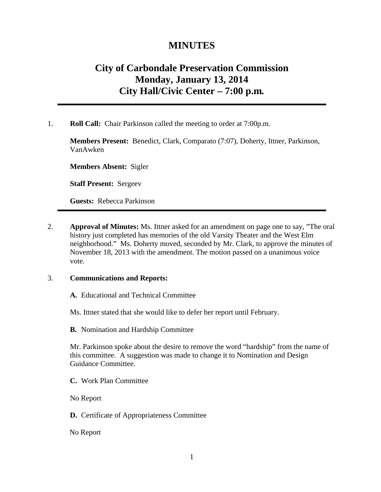### **MINUTES**

## **City of Carbondale Preservation Commission Monday, January 13, 2014 City Hall/Civic Center – 7:00 p.m***.*

1. **Roll Call:** Chair Parkinson called the meeting to order at 7:00p.m.

**Members Present:** Benedict, Clark, Comparato (7:07), Doherty, Ittner, Parkinson, VanAwken

**Members Absent:** Sigler

**Staff Present:** Sergeev

**Guests:** Rebecca Parkinson

2. **Approval of Minutes:** Ms. Ittner asked for an amendment on page one to say, "The oral history just completed has memories of the old Varsity Theater and the West Elm neighborhood." Ms. Doherty moved, seconded by Mr. Clark, to approve the minutes of November 18, 2013 with the amendment. The motion passed on a unanimous voice vote.

#### 3. **Communications and Reports:**

**A.** Educational and Technical Committee

Ms. Ittner stated that she would like to defer her report until February.

**B.** Nomination and Hardship Committee

Mr. Parkinson spoke about the desire to remove the word "hardship" from the name of this committee. A suggestion was made to change it to Nomination and Design Guidance Committee.

**C.** Work Plan Committee

No Report

**D.** Certificate of Appropriateness Committee

No Report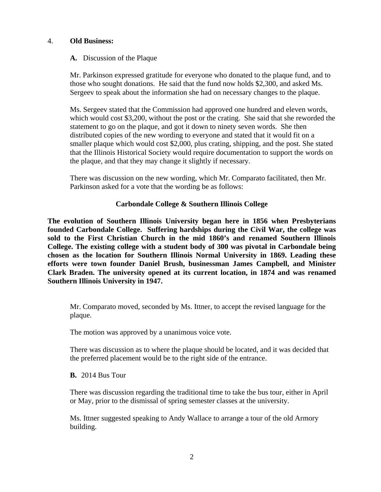#### 4. **Old Business:**

#### **A.** Discussion of the Plaque

Mr. Parkinson expressed gratitude for everyone who donated to the plaque fund, and to those who sought donations. He said that the fund now holds \$2,300, and asked Ms. Sergeev to speak about the information she had on necessary changes to the plaque.

Ms. Sergeev stated that the Commission had approved one hundred and eleven words, which would cost \$3,200, without the post or the crating. She said that she reworded the statement to go on the plaque, and got it down to ninety seven words. She then distributed copies of the new wording to everyone and stated that it would fit on a smaller plaque which would cost \$2,000, plus crating, shipping, and the post. She stated that the Illinois Historical Society would require documentation to support the words on the plaque, and that they may change it slightly if necessary.

There was discussion on the new wording, which Mr. Comparato facilitated, then Mr. Parkinson asked for a vote that the wording be as follows:

#### **Carbondale College & Southern Illinois College**

**The evolution of Southern Illinois University began here in 1856 when Presbyterians founded Carbondale College. Suffering hardships during the Civil War, the college was sold to the First Christian Church in the mid 1860's and renamed Southern Illinois College. The existing college with a student body of 300 was pivotal in Carbondale being chosen as the location for Southern Illinois Normal University in 1869. Leading these efforts were town founder Daniel Brush, businessman James Campbell, and Minister Clark Braden. The university opened at its current location, in 1874 and was renamed Southern Illinois University in 1947.** 

Mr. Comparato moved, seconded by Ms. Ittner, to accept the revised language for the plaque.

The motion was approved by a unanimous voice vote.

There was discussion as to where the plaque should be located, and it was decided that the preferred placement would be to the right side of the entrance.

**B.** 2014 Bus Tour

There was discussion regarding the traditional time to take the bus tour, either in April or May, prior to the dismissal of spring semester classes at the university.

Ms. Ittner suggested speaking to Andy Wallace to arrange a tour of the old Armory building.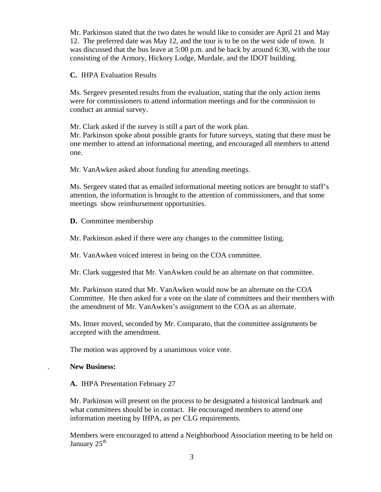Mr. Parkinson stated that the two dates he would like to consider are April 21 and May 12. The preferred date was May 12, and the tour is to be on the west side of town. It was discussed that the bus leave at 5:00 p.m. and be back by around 6:30, with the tour consisting of the Armory, Hickory Lodge, Murdale, and the IDOT building.

**C.** IHPA Evaluation Results

Ms. Sergeev presented results from the evaluation, stating that the only action items were for commissioners to attend information meetings and for the commission to conduct an annual survey.

Mr. Clark asked if the survey is still a part of the work plan.

Mr. Parkinson spoke about possible grants for future surveys, stating that there must be one member to attend an informational meeting, and encouraged all members to attend one.

Mr. VanAwken asked about funding for attending meetings.

Ms. Sergeev stated that as emailed informational meeting notices are brought to staff's attention, the information is brought to the attention of commissioners, and that some meetings show reimbursement opportunities.

**D.** Committee membership

Mr. Parkinson asked if there were any changes to the committee listing.

Mr. VanAwken voiced interest in being on the COA committee.

Mr. Clark suggested that Mr. VanAwken could be an alternate on that committee.

Mr. Parkinson stated that Mr. VanAwken would now be an alternate on the COA Committee. He then asked for a vote on the slate of committees and their members with the amendment of Mr. VanAwken's assignment to the COA as an alternate.

Ms. Ittner moved, seconded by Mr. Comparato, that the committee assignments be accepted with the amendment.

The motion was approved by a unanimous voice vote.

#### . **New Business:**

**A.** IHPA Presentation February 27

Mr. Parkinson will present on the process to be designated a historical landmark and what committees should be in contact. He encouraged members to attend one information meeting by IHPA, as per CLG requirements.

Members were encouraged to attend a Neighborhood Association meeting to be held on January  $25<sup>th</sup>$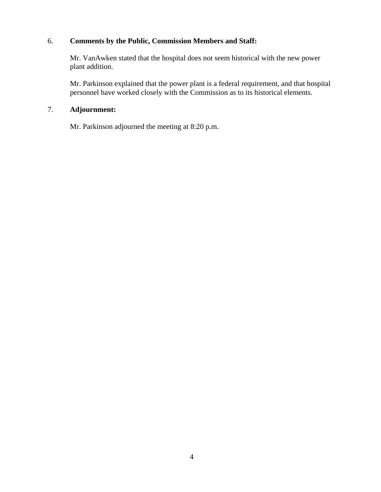#### 6. **Comments by the Public, Commission Members and Staff:**

Mr. VanAwken stated that the hospital does not seem historical with the new power plant addition.

Mr. Parkinson explained that the power plant is a federal requirement, and that hospital personnel have worked closely with the Commission as to its historical elements.

#### 7. **Adjournment:**

Mr. Parkinson adjourned the meeting at 8:20 p.m.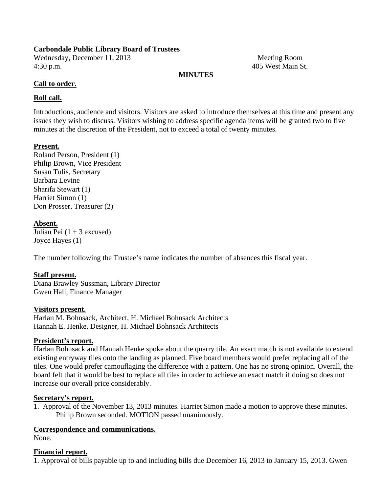#### **Carbondale Public Library Board of Trustees**

Wednesday, December 11, 2013 Meeting Room 4:30 p.m. 405 West Main St.

#### **MINUTES**

#### **Call to order.**

#### **Roll call.**

Introductions, audience and visitors. Visitors are asked to introduce themselves at this time and present any issues they wish to discuss. Visitors wishing to address specific agenda items will be granted two to five minutes at the discretion of the President, not to exceed a total of twenty minutes.

#### **Present.**

Roland Person, President (1) Philip Brown, Vice President Susan Tulis, Secretary Barbara Levine Sharifa Stewart (1) Harriet Simon (1) Don Prosser, Treasurer (2)

#### **Absent.**

Julian Pei  $(1 + 3$  excused) Joyce Hayes (1)

The number following the Trustee's name indicates the number of absences this fiscal year.

#### **Staff present.**

Diana Brawley Sussman, Library Director Gwen Hall, Finance Manager

#### **Visitors present.**

Harlan M. Bohnsack, Architect, H. Michael Bohnsack Architects Hannah E. Henke, Designer, H. Michael Bohnsack Architects

#### **President's report.**

Harlan Bohnsack and Hannah Henke spoke about the quarry tile. An exact match is not available to extend existing entryway tiles onto the landing as planned. Five board members would prefer replacing all of the tiles. One would prefer camouflaging the difference with a pattern. One has no strong opinion. Overall, the board felt that it would be best to replace all tiles in order to achieve an exact match if doing so does not increase our overall price considerably.

#### **Secretary's report.**

1. Approval of the November 13, 2013 minutes. Harriet Simon made a motion to approve these minutes. Philip Brown seconded. MOTION passed unanimously.

#### **Correspondence and communications.**

None.

#### **Financial report.**

1. Approval of bills payable up to and including bills due December 16, 2013 to January 15, 2013. Gwen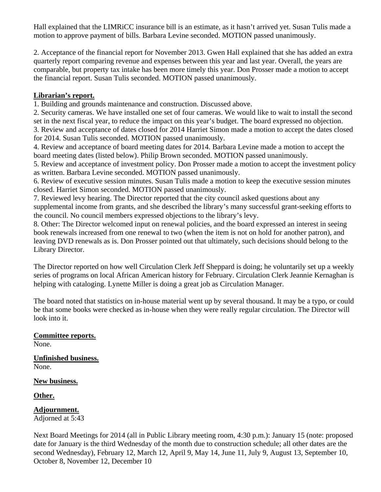Hall explained that the LIMRiCC insurance bill is an estimate, as it hasn't arrived yet. Susan Tulis made a motion to approve payment of bills. Barbara Levine seconded. MOTION passed unanimously.

2. Acceptance of the financial report for November 2013. Gwen Hall explained that she has added an extra quarterly report comparing revenue and expenses between this year and last year. Overall, the years are comparable, but property tax intake has been more timely this year. Don Prosser made a motion to accept the financial report. Susan Tulis seconded. MOTION passed unanimously.

#### **Librarian's report.**

1. Building and grounds maintenance and construction. Discussed above.

2. Security cameras. We have installed one set of four cameras. We would like to wait to install the second set in the next fiscal year, to reduce the impact on this year's budget. The board expressed no objection. 3. Review and acceptance of dates closed for 2014 Harriet Simon made a motion to accept the dates closed for 2014. Susan Tulis seconded. MOTION passed unanimously.

4. Review and acceptance of board meeting dates for 2014. Barbara Levine made a motion to accept the board meeting dates (listed below). Philip Brown seconded. MOTION passed unanimously.

5. Review and acceptance of investment policy. Don Prosser made a motion to accept the investment policy as written. Barbara Levine seconded. MOTION passed unanimously.

6. Review of executive session minutes. Susan Tulis made a motion to keep the executive session minutes closed. Harriet Simon seconded. MOTION passed unanimously.

7. Reviewed levy hearing. The Director reported that the city council asked questions about any supplemental income from grants, and she described the library's many successful grant-seeking efforts to the council. No council members expressed objections to the library's levy.

8. Other: The Director welcomed input on renewal policies, and the board expressed an interest in seeing book renewals increased from one renewal to two (when the item is not on hold for another patron), and leaving DVD renewals as is. Don Prosser pointed out that ultimately, such decisions should belong to the Library Director.

The Director reported on how well Circulation Clerk Jeff Sheppard is doing; he voluntarily set up a weekly series of programs on local African American history for February. Circulation Clerk Jeannie Kernaghan is helping with cataloging. Lynette Miller is doing a great job as Circulation Manager.

The board noted that statistics on in-house material went up by several thousand. It may be a typo, or could be that some books were checked as in-house when they were really regular circulation. The Director will look into it.

**Committee reports.**  None.

**Unfinished business.**  None.

**New business.** 

**Other.** 

**Adjournment.**  Adjorned at 5:43

Next Board Meetings for 2014 (all in Public Library meeting room, 4:30 p.m.): January 15 (note: proposed date for January is the third Wednesday of the month due to construction schedule; all other dates are the second Wednesday), February 12, March 12, April 9, May 14, June 11, July 9, August 13, September 10, October 8, November 12, December 10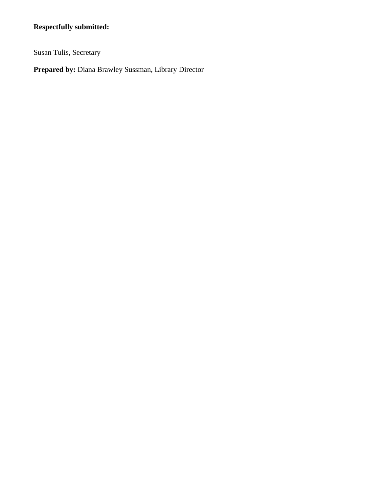### **Respectfully submitted:**

Susan Tulis, Secretary

**Prepared by:** Diana Brawley Sussman, Library Director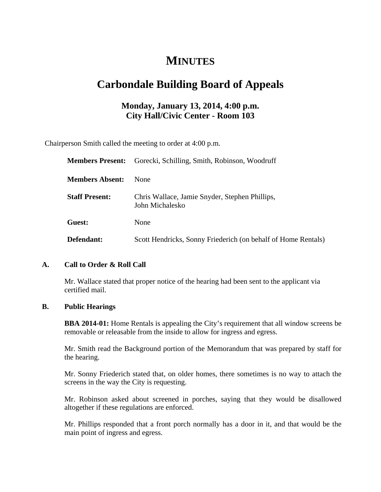# **MINUTES**

# **Carbondale Building Board of Appeals**

### **Monday, January 13, 2014, 4:00 p.m. City Hall/Civic Center - Room 103**

Chairperson Smith called the meeting to order at 4:00 p.m.

| <b>Members Present:</b> | Gorecki, Schilling, Smith, Robinson, Woodruff                     |  |
|-------------------------|-------------------------------------------------------------------|--|
| <b>Members Absent:</b>  | None                                                              |  |
| <b>Staff Present:</b>   | Chris Wallace, Jamie Snyder, Stephen Phillips,<br>John Michalesko |  |
| Guest:                  | None                                                              |  |
| Defendant:              | Scott Hendricks, Sonny Friederich (on behalf of Home Rentals)     |  |

#### **A. Call to Order & Roll Call**

 Mr. Wallace stated that proper notice of the hearing had been sent to the applicant via certified mail.

#### **B. Public Hearings**

**BBA 2014-01:** Home Rentals is appealing the City's requirement that all window screens be removable or releasable from the inside to allow for ingress and egress.

Mr. Smith read the Background portion of the Memorandum that was prepared by staff for the hearing.

Mr. Sonny Friederich stated that, on older homes, there sometimes is no way to attach the screens in the way the City is requesting.

Mr. Robinson asked about screened in porches, saying that they would be disallowed altogether if these regulations are enforced.

Mr. Phillips responded that a front porch normally has a door in it, and that would be the main point of ingress and egress.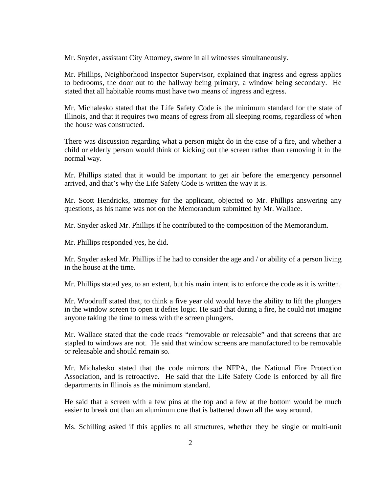Mr. Snyder, assistant City Attorney, swore in all witnesses simultaneously.

Mr. Phillips, Neighborhood Inspector Supervisor, explained that ingress and egress applies to bedrooms, the door out to the hallway being primary, a window being secondary. He stated that all habitable rooms must have two means of ingress and egress.

Mr. Michalesko stated that the Life Safety Code is the minimum standard for the state of Illinois, and that it requires two means of egress from all sleeping rooms, regardless of when the house was constructed.

There was discussion regarding what a person might do in the case of a fire, and whether a child or elderly person would think of kicking out the screen rather than removing it in the normal way.

Mr. Phillips stated that it would be important to get air before the emergency personnel arrived, and that's why the Life Safety Code is written the way it is.

Mr. Scott Hendricks, attorney for the applicant, objected to Mr. Phillips answering any questions, as his name was not on the Memorandum submitted by Mr. Wallace.

Mr. Snyder asked Mr. Phillips if he contributed to the composition of the Memorandum.

Mr. Phillips responded yes, he did.

Mr. Snyder asked Mr. Phillips if he had to consider the age and / or ability of a person living in the house at the time.

Mr. Phillips stated yes, to an extent, but his main intent is to enforce the code as it is written.

Mr. Woodruff stated that, to think a five year old would have the ability to lift the plungers in the window screen to open it defies logic. He said that during a fire, he could not imagine anyone taking the time to mess with the screen plungers.

Mr. Wallace stated that the code reads "removable or releasable" and that screens that are stapled to windows are not. He said that window screens are manufactured to be removable or releasable and should remain so.

Mr. Michalesko stated that the code mirrors the NFPA, the National Fire Protection Association, and is retroactive. He said that the Life Safety Code is enforced by all fire departments in Illinois as the minimum standard.

He said that a screen with a few pins at the top and a few at the bottom would be much easier to break out than an aluminum one that is battened down all the way around.

Ms. Schilling asked if this applies to all structures, whether they be single or multi-unit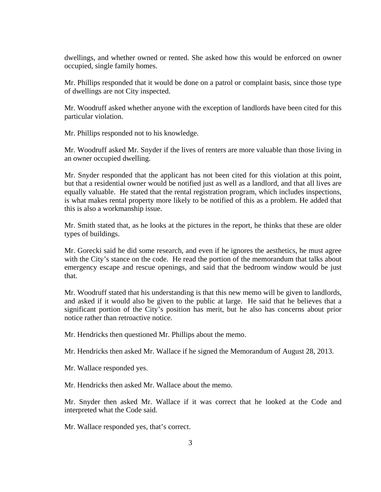dwellings, and whether owned or rented. She asked how this would be enforced on owner occupied, single family homes.

Mr. Phillips responded that it would be done on a patrol or complaint basis, since those type of dwellings are not City inspected.

Mr. Woodruff asked whether anyone with the exception of landlords have been cited for this particular violation.

Mr. Phillips responded not to his knowledge.

Mr. Woodruff asked Mr. Snyder if the lives of renters are more valuable than those living in an owner occupied dwelling.

Mr. Snyder responded that the applicant has not been cited for this violation at this point, but that a residential owner would be notified just as well as a landlord, and that all lives are equally valuable. He stated that the rental registration program, which includes inspections, is what makes rental property more likely to be notified of this as a problem. He added that this is also a workmanship issue.

Mr. Smith stated that, as he looks at the pictures in the report, he thinks that these are older types of buildings.

Mr. Gorecki said he did some research, and even if he ignores the aesthetics, he must agree with the City's stance on the code. He read the portion of the memorandum that talks about emergency escape and rescue openings, and said that the bedroom window would be just that.

Mr. Woodruff stated that his understanding is that this new memo will be given to landlords, and asked if it would also be given to the public at large. He said that he believes that a significant portion of the City's position has merit, but he also has concerns about prior notice rather than retroactive notice.

Mr. Hendricks then questioned Mr. Phillips about the memo.

Mr. Hendricks then asked Mr. Wallace if he signed the Memorandum of August 28, 2013.

Mr. Wallace responded yes.

Mr. Hendricks then asked Mr. Wallace about the memo.

Mr. Snyder then asked Mr. Wallace if it was correct that he looked at the Code and interpreted what the Code said.

Mr. Wallace responded yes, that's correct.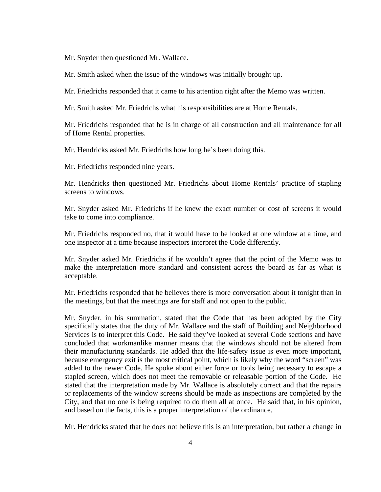Mr. Snyder then questioned Mr. Wallace.

Mr. Smith asked when the issue of the windows was initially brought up.

Mr. Friedrichs responded that it came to his attention right after the Memo was written.

Mr. Smith asked Mr. Friedrichs what his responsibilities are at Home Rentals.

Mr. Friedrichs responded that he is in charge of all construction and all maintenance for all of Home Rental properties.

Mr. Hendricks asked Mr. Friedrichs how long he's been doing this.

Mr. Friedrichs responded nine years.

Mr. Hendricks then questioned Mr. Friedrichs about Home Rentals' practice of stapling screens to windows.

Mr. Snyder asked Mr. Friedrichs if he knew the exact number or cost of screens it would take to come into compliance.

Mr. Friedrichs responded no, that it would have to be looked at one window at a time, and one inspector at a time because inspectors interpret the Code differently.

Mr. Snyder asked Mr. Friedrichs if he wouldn't agree that the point of the Memo was to make the interpretation more standard and consistent across the board as far as what is acceptable.

Mr. Friedrichs responded that he believes there is more conversation about it tonight than in the meetings, but that the meetings are for staff and not open to the public.

Mr. Snyder, in his summation, stated that the Code that has been adopted by the City specifically states that the duty of Mr. Wallace and the staff of Building and Neighborhood Services is to interpret this Code. He said they've looked at several Code sections and have concluded that workmanlike manner means that the windows should not be altered from their manufacturing standards. He added that the life-safety issue is even more important, because emergency exit is the most critical point, which is likely why the word "screen" was added to the newer Code. He spoke about either force or tools being necessary to escape a stapled screen, which does not meet the removable or releasable portion of the Code. He stated that the interpretation made by Mr. Wallace is absolutely correct and that the repairs or replacements of the window screens should be made as inspections are completed by the City, and that no one is being required to do them all at once. He said that, in his opinion, and based on the facts, this is a proper interpretation of the ordinance.

Mr. Hendricks stated that he does not believe this is an interpretation, but rather a change in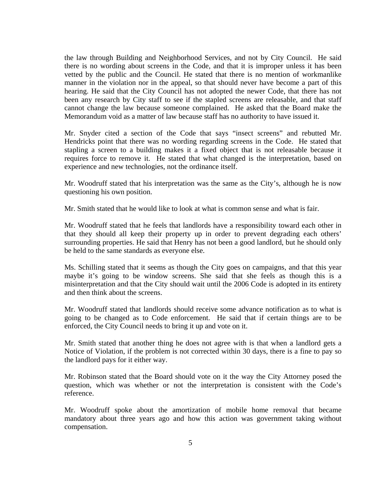the law through Building and Neighborhood Services, and not by City Council. He said there is no wording about screens in the Code, and that it is improper unless it has been vetted by the public and the Council. He stated that there is no mention of workmanlike manner in the violation nor in the appeal, so that should never have become a part of this hearing. He said that the City Council has not adopted the newer Code, that there has not been any research by City staff to see if the stapled screens are releasable, and that staff cannot change the law because someone complained. He asked that the Board make the Memorandum void as a matter of law because staff has no authority to have issued it.

Mr. Snyder cited a section of the Code that says "insect screens" and rebutted Mr. Hendricks point that there was no wording regarding screens in the Code. He stated that stapling a screen to a building makes it a fixed object that is not releasable because it requires force to remove it. He stated that what changed is the interpretation, based on experience and new technologies, not the ordinance itself.

Mr. Woodruff stated that his interpretation was the same as the City's, although he is now questioning his own position.

Mr. Smith stated that he would like to look at what is common sense and what is fair.

Mr. Woodruff stated that he feels that landlords have a responsibility toward each other in that they should all keep their property up in order to prevent degrading each others' surrounding properties. He said that Henry has not been a good landlord, but he should only be held to the same standards as everyone else.

Ms. Schilling stated that it seems as though the City goes on campaigns, and that this year maybe it's going to be window screens. She said that she feels as though this is a misinterpretation and that the City should wait until the 2006 Code is adopted in its entirety and then think about the screens.

Mr. Woodruff stated that landlords should receive some advance notification as to what is going to be changed as to Code enforcement. He said that if certain things are to be enforced, the City Council needs to bring it up and vote on it.

Mr. Smith stated that another thing he does not agree with is that when a landlord gets a Notice of Violation, if the problem is not corrected within 30 days, there is a fine to pay so the landlord pays for it either way.

Mr. Robinson stated that the Board should vote on it the way the City Attorney posed the question, which was whether or not the interpretation is consistent with the Code's reference.

Mr. Woodruff spoke about the amortization of mobile home removal that became mandatory about three years ago and how this action was government taking without compensation.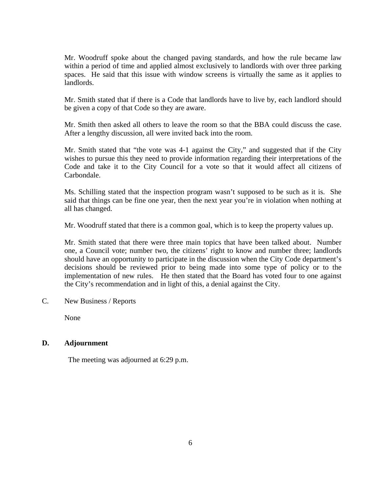Mr. Woodruff spoke about the changed paving standards, and how the rule became law within a period of time and applied almost exclusively to landlords with over three parking spaces. He said that this issue with window screens is virtually the same as it applies to landlords.

Mr. Smith stated that if there is a Code that landlords have to live by, each landlord should be given a copy of that Code so they are aware.

Mr. Smith then asked all others to leave the room so that the BBA could discuss the case. After a lengthy discussion, all were invited back into the room.

Mr. Smith stated that "the vote was 4-1 against the City," and suggested that if the City wishes to pursue this they need to provide information regarding their interpretations of the Code and take it to the City Council for a vote so that it would affect all citizens of Carbondale.

Ms. Schilling stated that the inspection program wasn't supposed to be such as it is. She said that things can be fine one year, then the next year you're in violation when nothing at all has changed.

Mr. Woodruff stated that there is a common goal, which is to keep the property values up.

Mr. Smith stated that there were three main topics that have been talked about. Number one, a Council vote; number two, the citizens' right to know and number three; landlords should have an opportunity to participate in the discussion when the City Code department's decisions should be reviewed prior to being made into some type of policy or to the implementation of new rules. He then stated that the Board has voted four to one against the City's recommendation and in light of this, a denial against the City.

C. New Business / Reports

None

#### **D. Adjournment**

The meeting was adjourned at 6:29 p.m.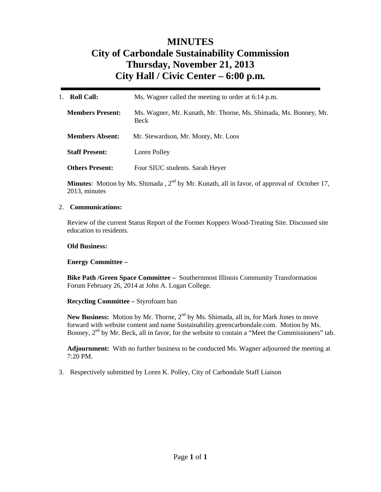## **MINUTES City of Carbondale Sustainability Commission Thursday, November 21, 2013 City Hall / Civic Center – 6:00 p.m***.*

| <b>Roll Call:</b><br>1. | Ms. Wagner called the meeting to order at 6:14 p.m.                             |
|-------------------------|---------------------------------------------------------------------------------|
| <b>Members Present:</b> | Ms. Wagner, Mr. Kunath, Mr. Thorne, Ms. Shimada, Ms. Bonney, Mr.<br><b>Beck</b> |
| <b>Members Absent:</b>  | Mr. Stewardson, Mr. Monty, Mr. Loos                                             |
| <b>Staff Present:</b>   | Loren Polley                                                                    |
| <b>Others Present:</b>  | Four SIUC students. Sarah Heyer                                                 |

**Minutes**: Motion by Ms. Shimada,  $2^{nd}$  by Mr. Kunath, all in favor, of approval of October 17, 2013, minutes

#### 2. **Communications:**

Review of the current Status Report of the Former Koppers Wood-Treating Site. Discussed site education to residents.

#### **Old Business:**

#### **Energy Committee –**

**Bike Path /Green Space Committee –** Southernmost Illinois Community Transformation Forum February 26, 2014 at John A. Logan College.

#### **Recycling Committee –** Styrofoam ban

New Business: Motion by Mr. Thorne, 2<sup>nd</sup> by Ms. Shimada, all in, for Mark Jones to move forward with website content and name Sustainability.greencarbondale.com. Motion by Ms. Bonney,  $2<sup>nd</sup>$  by Mr. Beck, all in favor, for the website to contain a "Meet the Commissioners" tab.

**Adjournment:** With no further business to be conducted Ms. Wagner adjourned the meeting at 7:20 PM.

3. Respectively submitted by Loren K. Polley, City of Carbondale Staff Liaison